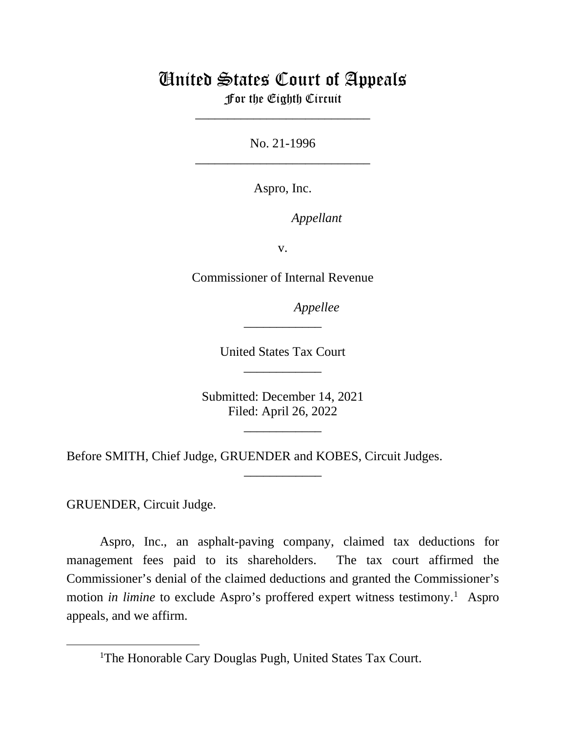# United States Court of Appeals

For the Eighth Circuit \_\_\_\_\_\_\_\_\_\_\_\_\_\_\_\_\_\_\_\_\_\_\_\_\_\_\_

No. 21-1996 \_\_\_\_\_\_\_\_\_\_\_\_\_\_\_\_\_\_\_\_\_\_\_\_\_\_\_

Aspro, Inc.

*Appellant*

v.

Commissioner of Internal Revenue

*Appellee*

United States Tax Court \_\_\_\_\_\_\_\_\_\_\_\_

\_\_\_\_\_\_\_\_\_\_\_\_

Submitted: December 14, 2021 Filed: April 26, 2022

\_\_\_\_\_\_\_\_\_\_\_\_

\_\_\_\_\_\_\_\_\_\_\_\_

Before SMITH, Chief Judge, GRUENDER and KOBES, Circuit Judges.

GRUENDER, Circuit Judge.

Aspro, Inc., an asphalt-paving company, claimed tax deductions for management fees paid to its shareholders. The tax court affirmed the Commissioner's denial of the claimed deductions and granted the Commissioner's motion *in limine* to exclude Aspro's proffered expert witness testimony.<sup>[1](#page-0-0)</sup> Aspro appeals, and we affirm.

<span id="page-0-0"></span><sup>&</sup>lt;sup>1</sup>The Honorable Cary Douglas Pugh, United States Tax Court.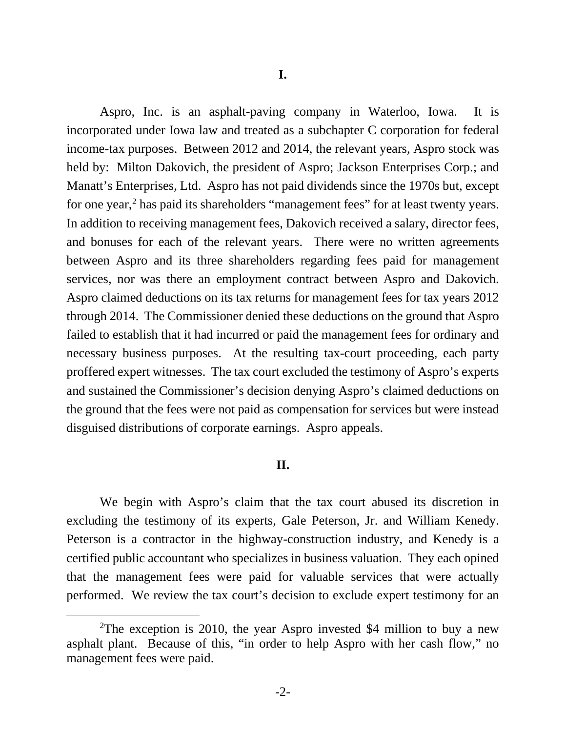Aspro, Inc. is an asphalt-paving company in Waterloo, Iowa. It is incorporated under Iowa law and treated as a subchapter C corporation for federal income-tax purposes. Between 2012 and 2014, the relevant years, Aspro stock was held by: Milton Dakovich, the president of Aspro; Jackson Enterprises Corp.; and Manatt's Enterprises, Ltd. Aspro has not paid dividends since the 1970s but, except for one year,<sup>[2](#page-1-0)</sup> has paid its shareholders "management fees" for at least twenty years. In addition to receiving management fees, Dakovich received a salary, director fees, and bonuses for each of the relevant years. There were no written agreements between Aspro and its three shareholders regarding fees paid for management services, nor was there an employment contract between Aspro and Dakovich. Aspro claimed deductions on its tax returns for management fees for tax years 2012 through 2014. The Commissioner denied these deductions on the ground that Aspro failed to establish that it had incurred or paid the management fees for ordinary and necessary business purposes. At the resulting tax-court proceeding, each party proffered expert witnesses. The tax court excluded the testimony of Aspro's experts and sustained the Commissioner's decision denying Aspro's claimed deductions on the ground that the fees were not paid as compensation for services but were instead disguised distributions of corporate earnings. Aspro appeals.

## **II.**

We begin with Aspro's claim that the tax court abused its discretion in excluding the testimony of its experts, Gale Peterson, Jr. and William Kenedy. Peterson is a contractor in the highway-construction industry, and Kenedy is a certified public accountant who specializes in business valuation. They each opined that the management fees were paid for valuable services that were actually performed. We review the tax court's decision to exclude expert testimony for an

<span id="page-1-0"></span><sup>&</sup>lt;sup>2</sup>The exception is 2010, the year Aspro invested \$4 million to buy a new asphalt plant. Because of this, "in order to help Aspro with her cash flow," no management fees were paid.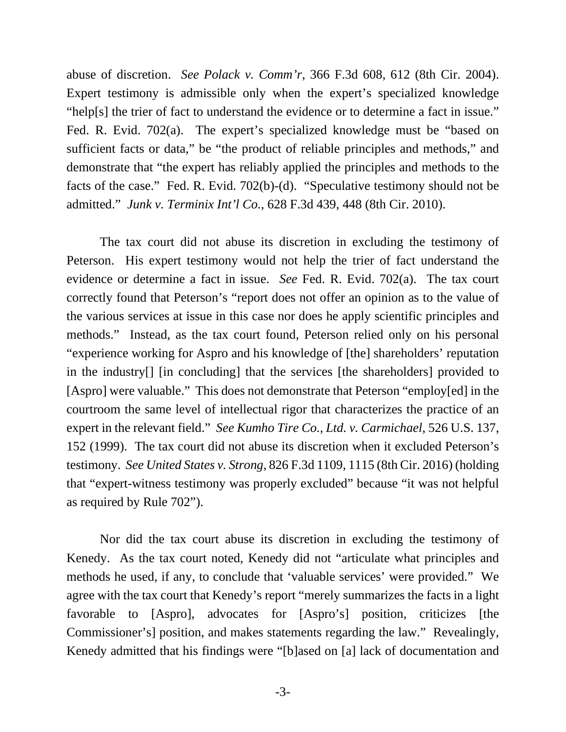abuse of discretion. *See Polack v. Comm'r*, 366 F.3d 608, 612 (8th Cir. 2004). Expert testimony is admissible only when the expert's specialized knowledge "help[s] the trier of fact to understand the evidence or to determine a fact in issue." Fed. R. Evid. 702(a). The expert's specialized knowledge must be "based on sufficient facts or data," be "the product of reliable principles and methods," and demonstrate that "the expert has reliably applied the principles and methods to the facts of the case." Fed. R. Evid. 702(b)-(d). "Speculative testimony should not be admitted." *Junk v. Terminix Int'l Co.*, 628 F.3d 439, 448 (8th Cir. 2010).

The tax court did not abuse its discretion in excluding the testimony of Peterson. His expert testimony would not help the trier of fact understand the evidence or determine a fact in issue. *See* Fed. R. Evid. 702(a). The tax court correctly found that Peterson's "report does not offer an opinion as to the value of the various services at issue in this case nor does he apply scientific principles and methods." Instead, as the tax court found, Peterson relied only on his personal "experience working for Aspro and his knowledge of [the] shareholders' reputation in the industry[] [in concluding] that the services [the shareholders] provided to [Aspro] were valuable." This does not demonstrate that Peterson "employ[ed] in the courtroom the same level of intellectual rigor that characterizes the practice of an expert in the relevant field." *See Kumho Tire Co., Ltd. v. Carmichael*, 526 U.S. 137, 152 (1999). The tax court did not abuse its discretion when it excluded Peterson's testimony. *See United States v. Strong*, 826 F.3d 1109, 1115 (8th Cir. 2016) (holding that "expert-witness testimony was properly excluded" because "it was not helpful as required by Rule 702").

Nor did the tax court abuse its discretion in excluding the testimony of Kenedy. As the tax court noted, Kenedy did not "articulate what principles and methods he used, if any, to conclude that 'valuable services' were provided." We agree with the tax court that Kenedy's report "merely summarizes the facts in a light favorable to [Aspro], advocates for [Aspro's] position, criticizes [the Commissioner's] position, and makes statements regarding the law." Revealingly, Kenedy admitted that his findings were "[b]ased on [a] lack of documentation and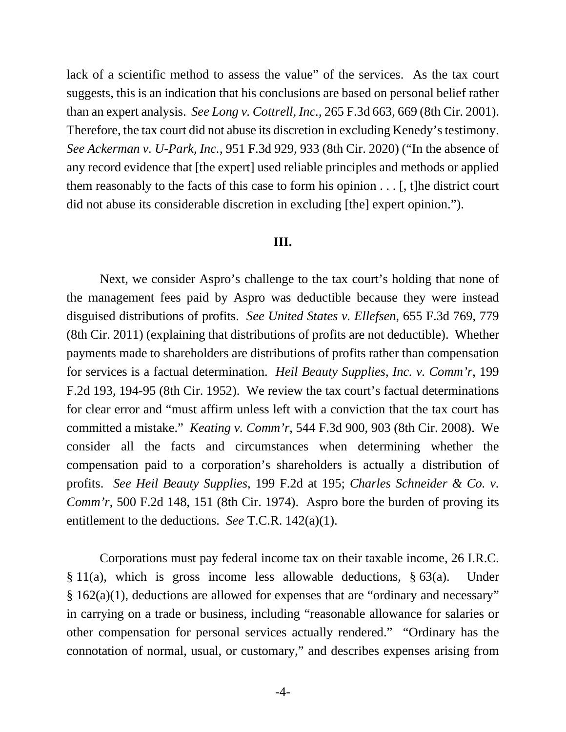lack of a scientific method to assess the value" of the services. As the tax court suggests, this is an indication that his conclusions are based on personal belief rather than an expert analysis. *See Long v. Cottrell, Inc.*, 265 F.3d 663, 669 (8th Cir. 2001). Therefore, the tax court did not abuse its discretion in excluding Kenedy's testimony. *See Ackerman v. U-Park, Inc.*, 951 F.3d 929, 933 (8th Cir. 2020) ("In the absence of any record evidence that [the expert] used reliable principles and methods or applied them reasonably to the facts of this case to form his opinion . . . [, t]he district court did not abuse its considerable discretion in excluding [the] expert opinion.").

#### **III.**

Next, we consider Aspro's challenge to the tax court's holding that none of the management fees paid by Aspro was deductible because they were instead disguised distributions of profits. *See United States v. Ellefsen*, 655 F.3d 769, 779 (8th Cir. 2011) (explaining that distributions of profits are not deductible). Whether payments made to shareholders are distributions of profits rather than compensation for services is a factual determination. *Heil Beauty Supplies, Inc. v. Comm'r*, 199 F.2d 193, 194-95 (8th Cir. 1952). We review the tax court's factual determinations for clear error and "must affirm unless left with a conviction that the tax court has committed a mistake." *Keating v. Comm'r*, 544 F.3d 900, 903 (8th Cir. 2008). We consider all the facts and circumstances when determining whether the compensation paid to a corporation's shareholders is actually a distribution of profits. *See Heil Beauty Supplies*, 199 F.2d at 195; *Charles Schneider & Co. v. Comm'r*, 500 F.2d 148, 151 (8th Cir. 1974). Aspro bore the burden of proving its entitlement to the deductions. *See* T.C.R. 142(a)(1).

Corporations must pay federal income tax on their taxable income, 26 I.R.C. § 11(a), which is gross income less allowable deductions, § 63(a). Under § 162(a)(1), deductions are allowed for expenses that are "ordinary and necessary" in carrying on a trade or business, including "reasonable allowance for salaries or other compensation for personal services actually rendered." "Ordinary has the connotation of normal, usual, or customary," and describes expenses arising from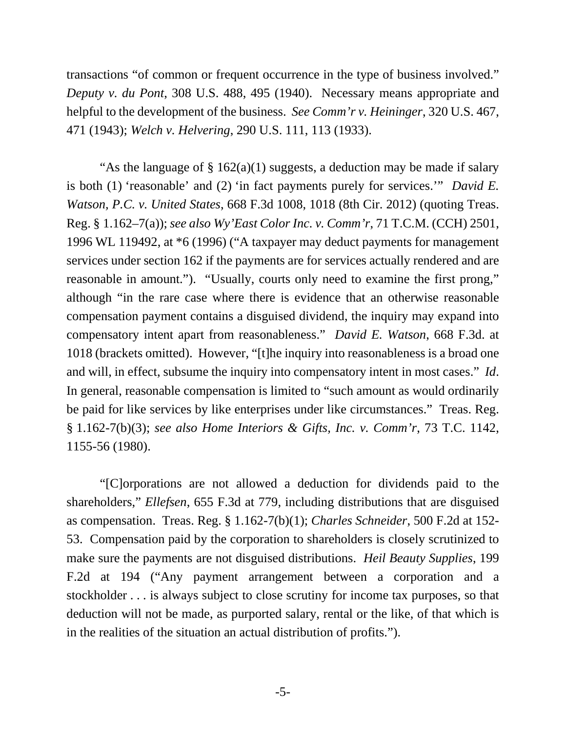transactions "of common or frequent occurrence in the type of business involved." *Deputy v. du Pont*, 308 U.S. 488, 495 (1940). Necessary means appropriate and helpful to the development of the business. *See Comm'r v. Heininger*, 320 U.S. 467, 471 (1943); *Welch v. Helvering*, 290 U.S. 111, 113 (1933).

"As the language of  $\S 162(a)(1)$  suggests, a deduction may be made if salary is both (1) 'reasonable' and (2) 'in fact payments purely for services.'" *David E. Watson, P.C. v. United States*, 668 F.3d 1008, 1018 (8th Cir. 2012) (quoting Treas. Reg. § 1.162–7(a)); *see also Wy'East Color Inc. v. Comm'r*, 71 T.C.M. (CCH) 2501, 1996 WL 119492, at \*6 (1996) ("A taxpayer may deduct payments for management services under section 162 if the payments are for services actually rendered and are reasonable in amount."). "Usually, courts only need to examine the first prong," although "in the rare case where there is evidence that an otherwise reasonable compensation payment contains a disguised dividend, the inquiry may expand into compensatory intent apart from reasonableness." *David E. Watson*, 668 F.3d. at 1018 (brackets omitted). However, "[t]he inquiry into reasonableness is a broad one and will, in effect, subsume the inquiry into compensatory intent in most cases." *Id*. In general, reasonable compensation is limited to "such amount as would ordinarily be paid for like services by like enterprises under like circumstances." Treas. Reg. § 1.162-7(b)(3); *see also Home Interiors & Gifts, Inc. v. Comm'r*, 73 T.C. 1142, 1155-56 (1980).

"[C]orporations are not allowed a deduction for dividends paid to the shareholders," *Ellefsen*, 655 F.3d at 779, including distributions that are disguised as compensation. Treas. Reg. § 1.162-7(b)(1); *Charles Schneider*, 500 F.2d at 152- 53. Compensation paid by the corporation to shareholders is closely scrutinized to make sure the payments are not disguised distributions. *Heil Beauty Supplies*, 199 F.2d at 194 ("Any payment arrangement between a corporation and a stockholder . . . is always subject to close scrutiny for income tax purposes, so that deduction will not be made, as purported salary, rental or the like, of that which is in the realities of the situation an actual distribution of profits.").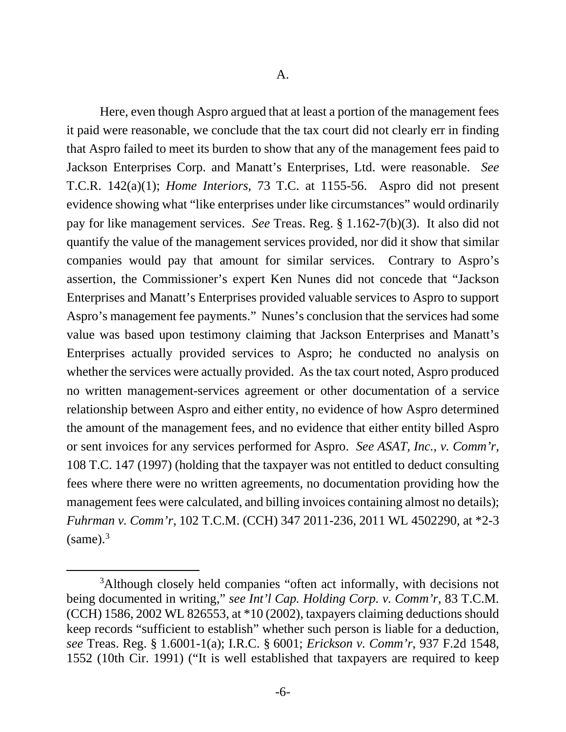Here, even though Aspro argued that at least a portion of the management fees it paid were reasonable, we conclude that the tax court did not clearly err in finding that Aspro failed to meet its burden to show that any of the management fees paid to Jackson Enterprises Corp. and Manatt's Enterprises, Ltd. were reasonable. *See*  T.C.R. 142(a)(1); *Home Interiors*, 73 T.C. at 1155-56. Aspro did not present evidence showing what "like enterprises under like circumstances" would ordinarily pay for like management services. *See* Treas. Reg. § 1.162-7(b)(3). It also did not quantify the value of the management services provided, nor did it show that similar companies would pay that amount for similar services. Contrary to Aspro's assertion, the Commissioner's expert Ken Nunes did not concede that "Jackson Enterprises and Manatt's Enterprises provided valuable services to Aspro to support Aspro's management fee payments." Nunes's conclusion that the services had some value was based upon testimony claiming that Jackson Enterprises and Manatt's Enterprises actually provided services to Aspro; he conducted no analysis on whether the services were actually provided. As the tax court noted, Aspro produced no written management-services agreement or other documentation of a service relationship between Aspro and either entity, no evidence of how Aspro determined the amount of the management fees, and no evidence that either entity billed Aspro or sent invoices for any services performed for Aspro. *See ASAT, Inc., v. Comm'r*, 108 T.C. 147 (1997) (holding that the taxpayer was not entitled to deduct consulting fees where there were no written agreements, no documentation providing how the management fees were calculated, and billing invoices containing almost no details); *Fuhrman v. Comm'r*, 102 T.C.M. (CCH) 347 2011-236, 2011 WL 4502290, at \*2-3  $(same).<sup>3</sup>$  $(same).<sup>3</sup>$  $(same).<sup>3</sup>$ 

<span id="page-5-0"></span><sup>&</sup>lt;sup>3</sup>Although closely held companies "often act informally, with decisions not being documented in writing," *see Int'l Cap. Holding Corp. v. Comm'r*, 83 T.C.M. (CCH) 1586, 2002 WL 826553, at \*10 (2002), taxpayers claiming deductions should keep records "sufficient to establish" whether such person is liable for a deduction, *see* Treas. Reg. § 1.6001-1(a); I.R.C. § 6001; *Erickson v. Comm'r*, 937 F.2d 1548, 1552 (10th Cir. 1991) ("It is well established that taxpayers are required to keep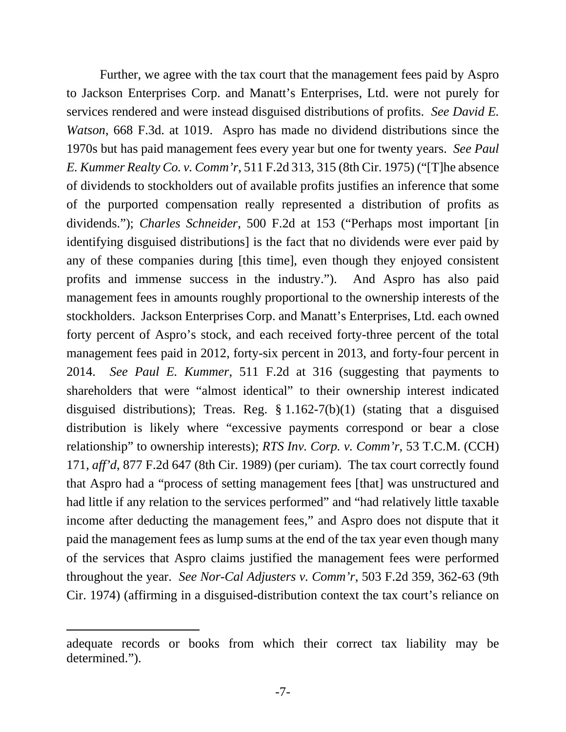Further, we agree with the tax court that the management fees paid by Aspro to Jackson Enterprises Corp. and Manatt's Enterprises, Ltd. were not purely for services rendered and were instead disguised distributions of profits. *See David E. Watson*, 668 F.3d. at 1019. Aspro has made no dividend distributions since the 1970s but has paid management fees every year but one for twenty years. *See Paul E. Kummer Realty Co. v. Comm'r*, 511 F.2d 313, 315 (8th Cir. 1975) ("[T]he absence of dividends to stockholders out of available profits justifies an inference that some of the purported compensation really represented a distribution of profits as dividends."); *Charles Schneider*, 500 F.2d at 153 ("Perhaps most important [in identifying disguised distributions] is the fact that no dividends were ever paid by any of these companies during [this time], even though they enjoyed consistent profits and immense success in the industry."). And Aspro has also paid management fees in amounts roughly proportional to the ownership interests of the stockholders. Jackson Enterprises Corp. and Manatt's Enterprises, Ltd. each owned forty percent of Aspro's stock, and each received forty-three percent of the total management fees paid in 2012, forty-six percent in 2013, and forty-four percent in 2014. *See Paul E. Kummer*, 511 F.2d at 316 (suggesting that payments to shareholders that were "almost identical" to their ownership interest indicated disguised distributions); Treas. Reg. § 1.162-7(b)(1) (stating that a disguised distribution is likely where "excessive payments correspond or bear a close relationship" to ownership interests); *RTS Inv. Corp. v. Comm'r*, 53 T.C.M. (CCH) 171, *aff'd*, 877 F.2d 647 (8th Cir. 1989) (per curiam). The tax court correctly found that Aspro had a "process of setting management fees [that] was unstructured and had little if any relation to the services performed" and "had relatively little taxable income after deducting the management fees," and Aspro does not dispute that it paid the management fees as lump sums at the end of the tax year even though many of the services that Aspro claims justified the management fees were performed throughout the year. *See Nor-Cal Adjusters v. Comm'r*, 503 F.2d 359, 362-63 (9th Cir. 1974) (affirming in a disguised-distribution context the tax court's reliance on

adequate records or books from which their correct tax liability may be determined.").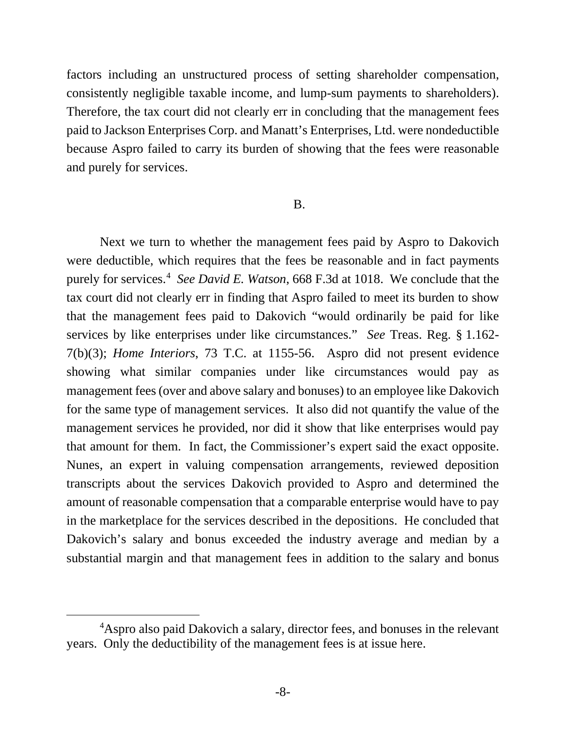factors including an unstructured process of setting shareholder compensation, consistently negligible taxable income, and lump-sum payments to shareholders). Therefore, the tax court did not clearly err in concluding that the management fees paid to Jackson Enterprises Corp. and Manatt's Enterprises, Ltd. were nondeductible because Aspro failed to carry its burden of showing that the fees were reasonable and purely for services.

## B.

Next we turn to whether the management fees paid by Aspro to Dakovich were deductible, which requires that the fees be reasonable and in fact payments purely for services. [4](#page-7-0) *See David E. Watson*, 668 F.3d at 1018. We conclude that the tax court did not clearly err in finding that Aspro failed to meet its burden to show that the management fees paid to Dakovich "would ordinarily be paid for like services by like enterprises under like circumstances." *See* Treas. Reg. § 1.162- 7(b)(3); *Home Interiors*, 73 T.C. at 1155-56. Aspro did not present evidence showing what similar companies under like circumstances would pay as management fees (over and above salary and bonuses) to an employee like Dakovich for the same type of management services. It also did not quantify the value of the management services he provided, nor did it show that like enterprises would pay that amount for them. In fact, the Commissioner's expert said the exact opposite. Nunes, an expert in valuing compensation arrangements, reviewed deposition transcripts about the services Dakovich provided to Aspro and determined the amount of reasonable compensation that a comparable enterprise would have to pay in the marketplace for the services described in the depositions. He concluded that Dakovich's salary and bonus exceeded the industry average and median by a substantial margin and that management fees in addition to the salary and bonus

<span id="page-7-0"></span><sup>&</sup>lt;sup>4</sup>Aspro also paid Dakovich a salary, director fees, and bonuses in the relevant years. Only the deductibility of the management fees is at issue here.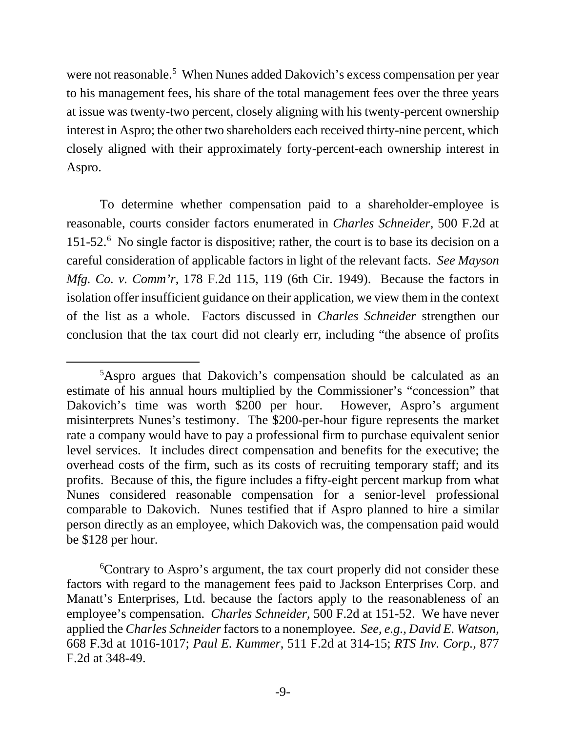were not reasonable.<sup>[5](#page-8-0)</sup> When Nunes added Dakovich's excess compensation per year to his management fees, his share of the total management fees over the three years at issue was twenty-two percent, closely aligning with his twenty-percent ownership interest in Aspro; the other two shareholders each received thirty-nine percent, which closely aligned with their approximately forty-percent-each ownership interest in Aspro.

To determine whether compensation paid to a shareholder-employee is reasonable, courts consider factors enumerated in *Charles Schneider*, 500 F.2d at 151-52.<sup>[6](#page-8-1)</sup> No single factor is dispositive; rather, the court is to base its decision on a careful consideration of applicable factors in light of the relevant facts. *See Mayson Mfg. Co. v. Comm'r*, 178 F.2d 115, 119 (6th Cir. 1949). Because the factors in isolation offer insufficient guidance on their application, we view them in the context of the list as a whole. Factors discussed in *Charles Schneider* strengthen our conclusion that the tax court did not clearly err, including "the absence of profits

<span id="page-8-0"></span><sup>&</sup>lt;sup>5</sup>Aspro argues that Dakovich's compensation should be calculated as an estimate of his annual hours multiplied by the Commissioner's "concession" that Dakovich's time was worth \$200 per hour. However, Aspro's argument misinterprets Nunes's testimony. The \$200-per-hour figure represents the market rate a company would have to pay a professional firm to purchase equivalent senior level services. It includes direct compensation and benefits for the executive; the overhead costs of the firm, such as its costs of recruiting temporary staff; and its profits. Because of this, the figure includes a fifty-eight percent markup from what Nunes considered reasonable compensation for a senior-level professional comparable to Dakovich. Nunes testified that if Aspro planned to hire a similar person directly as an employee, which Dakovich was, the compensation paid would be \$128 per hour.

<span id="page-8-1"></span><sup>6</sup> Contrary to Aspro's argument, the tax court properly did not consider these factors with regard to the management fees paid to Jackson Enterprises Corp. and Manatt's Enterprises, Ltd. because the factors apply to the reasonableness of an employee's compensation. *Charles Schneider*, 500 F.2d at 151-52. We have never applied the *Charles Schneider* factors to a nonemployee. *See, e.g., David E. Watson*, 668 F.3d at 1016-1017; *Paul E. Kummer*, 511 F.2d at 314-15; *RTS Inv. Corp.*, 877 F.2d at 348-49.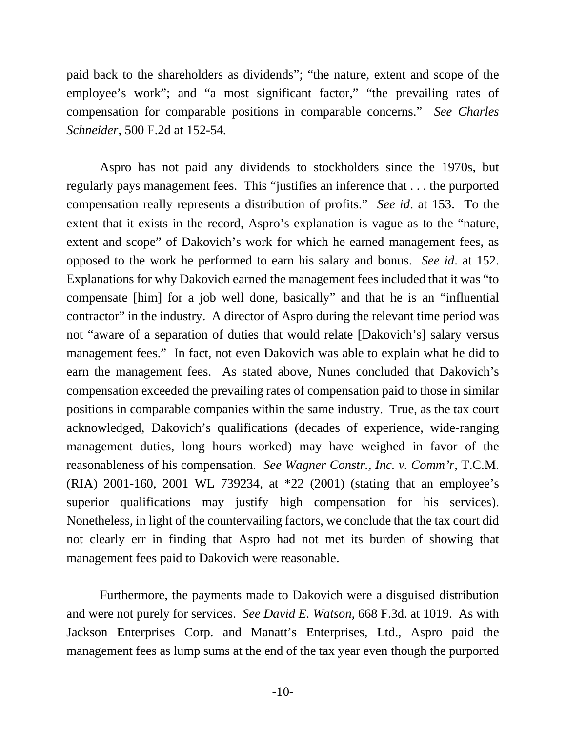paid back to the shareholders as dividends"; "the nature, extent and scope of the employee's work"; and "a most significant factor," "the prevailing rates of compensation for comparable positions in comparable concerns." *See Charles Schneider*, 500 F.2d at 152-54*.*

Aspro has not paid any dividends to stockholders since the 1970s, but regularly pays management fees. This "justifies an inference that . . . the purported compensation really represents a distribution of profits." *See id*. at 153. To the extent that it exists in the record, Aspro's explanation is vague as to the "nature, extent and scope" of Dakovich's work for which he earned management fees, as opposed to the work he performed to earn his salary and bonus. *See id*. at 152. Explanations for why Dakovich earned the management fees included that it was "to compensate [him] for a job well done, basically" and that he is an "influential contractor" in the industry. A director of Aspro during the relevant time period was not "aware of a separation of duties that would relate [Dakovich's] salary versus management fees." In fact, not even Dakovich was able to explain what he did to earn the management fees. As stated above, Nunes concluded that Dakovich's compensation exceeded the prevailing rates of compensation paid to those in similar positions in comparable companies within the same industry. True, as the tax court acknowledged, Dakovich's qualifications (decades of experience, wide-ranging management duties, long hours worked) may have weighed in favor of the reasonableness of his compensation. *See Wagner Constr., Inc. v. Comm'r*, T.C.M. (RIA) 2001-160, 2001 WL 739234, at \*22 (2001) (stating that an employee's superior qualifications may justify high compensation for his services). Nonetheless, in light of the countervailing factors, we conclude that the tax court did not clearly err in finding that Aspro had not met its burden of showing that management fees paid to Dakovich were reasonable.

Furthermore, the payments made to Dakovich were a disguised distribution and were not purely for services. *See David E. Watson*, 668 F.3d. at 1019. As with Jackson Enterprises Corp. and Manatt's Enterprises, Ltd., Aspro paid the management fees as lump sums at the end of the tax year even though the purported